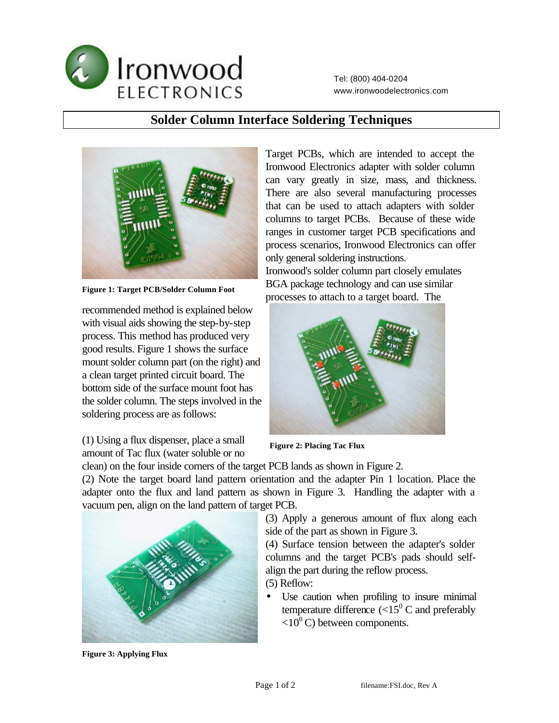

Tel: (800) 404-0204 www.ironwoodelectronics.com

## **Solder Column Interface Soldering Techniques**



**Figure 1: Target PCB/Solder Column Foot**

recommended method is explained below with visual aids showing the step-by-step process. This method has produced very good results. Figure 1 shows the surface mount solder column part (on the right) and a clean target printed circuit board. The bottom side of the surface mount foot has the solder column. The steps involved in the soldering process are as follows:

Target PCBs, which are intended to accept the Ironwood Electronics adapter with solder column can vary greatly in size, mass, and thickness. There are also several manufacturing processes that can be used to attach adapters with solder columns to target PCBs. Because of these wide ranges in customer target PCB specifications and process scenarios, Ironwood Electronics can offer only general soldering instructions.

Ironwood's solder column part closely emulates BGA package technology and can use similar processes to attach to a target board. The



(1) Using a flux dispenser, place a small amount of Tac flux (water soluble or no

**Figure 2: Placing Tac Flux**

clean) on the four inside corners of the target PCB lands as shown in Figure 2.

(2) Note the target board land pattern orientation and the adapter Pin 1 location. Place the adapter onto the flux and land pattern as shown in Figure 3. Handling the adapter with a vacuum pen, align on the land pattern of target PCB.

> (3) Apply a generous amount of flux along each side of the part as shown in Figure 3.

(4) Surface tension between the adapter's solder columns and the target PCB's pads should selfalign the part during the reflow process. (5) Reflow:

- 
- Use caution when profiling to insure minimal temperature difference  $\langle 15^0 \text{ C}$  and preferably  $\langle 10^0 \text{C} \rangle$  between components.



**Figure 3: Applying Flux**